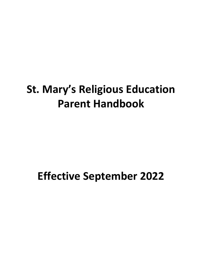# **St. Mary's Religious Education Parent Handbook**

# **Effective September 2022**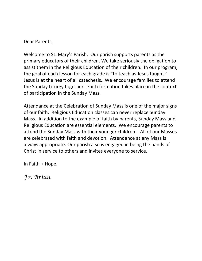Dear Parents,

Welcome to St. Mary's Parish. Our parish supports parents as the primary educators of their children. We take seriously the obligation to assist them in the Religious Education of their children. In our program, the goal of each lesson for each grade is "to teach as Jesus taught." Jesus is at the heart of all catechesis. We encourage families to attend the Sunday Liturgy together. Faith formation takes place in the context of participation in the Sunday Mass.

Attendance at the Celebration of Sunday Mass is one of the major signs of our faith. Religious Education classes can never replace Sunday Mass. In addition to the example of faith by parents, Sunday Mass and Religious Education are essential elements. We encourage parents to attend the Sunday Mass with their younger children. All of our Masses are celebrated with faith and devotion. Attendance at any Mass is always appropriate. Our parish also is engaged in being the hands of Christ in service to others and invites everyone to service.

In Faith + Hope,

*Fr. Brian*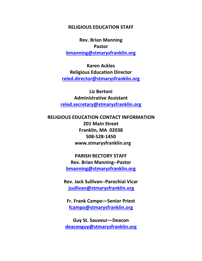#### **RELIGIOUS EDUCATION STAFF**

**Rev. Brian Manning Pastor [bmanning@stmarysfranklin.org](mailto:bmanning@stmarysfranklin.org)**

**Karen Ackles Religious Education Director [reled.director@stmarysfranklin.org](mailto:reled.director@stmarysfranklin.org)**

**Liz Bertoni Administrative Assistant [reled.secretary@stmarysfranklin.org](mailto:reled.secretary@stmarysfranklin.org)**

**RELIGIOUS EDUCATION CONTACT INFORMATION 201 Main Street Franklin, MA 02038 508-528-1450 www.stmarysfranklin.org**

> **PARISH RECTORY STAFF Rev. Brian Manning--Pastor [bmanning@stmarysfranklin.org](mailto:bmanning@stmarysfranklin.org)**

**Rev. Jack Sullivan--Parochial Vicar [jsullivan@stmarysfranklin.org](mailto:jsullivan@stmarysfranklin.org)**

**Fr. Frank Campo—Senior Priest [fcampo@stmarysfranklin.org](mailto:fcampo@stmarysfranklin.org)**

**Guy St. Sauveur—Deacon [deaconguy@stmarysfranklin.org](mailto:deaconguy@stmarysfranklin.org)**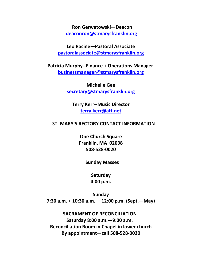**Ron Gerwatowski—Deacon [deaconron@stmarysfranklin.org](mailto:deaconron@stmarysfranklin.org)**

**Leo Racine—Pastoral Associate [pastoralassociate@stmarysfranklin.org](mailto:pastoralassociate@stmarysfranklin.org)**

**Patricia Murphy--Finance + Operations Manager [businessmanager@stmarysfranklin.org](mailto:businessmanager@stmarysfranklin.org)**

> **Michelle Gee [secretary@stmarysfranklin.org](mailto:secretary@stmarysfranklin.org)**

**Terry Kerr--Music Director [terry.kerr@att.net](mailto:terry.kerr@att.net)**

#### **ST. MARY'S RECTORY CONTACT INFORMATION**

**One Church Square Franklin, MA 02038 508-528-0020**

 **Sunday Masses**

**Saturday 4:00 p.m.**

**Sunday 7:30 a.m. + 10:30 a.m. + 12:00 p.m. (Sept.—May)**

 **SACRAMENT OF RECONCILIATION Saturday 8:00 a.m.—9:00 a.m. Reconciliation Room in Chapel in lower church By appointment—call 508-528-0020**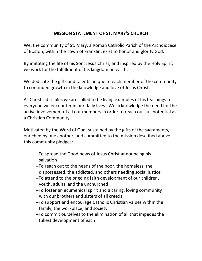#### **MISSION STATEMENT OF ST. MARY'S CHURCH**

We, the community of St. Mary, a Roman Catholic Parish of the Archdiocese of Boston, within the Town of Franklin, exist to honor and glorify God.

By imitating the life of his Son, Jesus Christ, and inspired by the Holy Spirit, we work for the fulfillment of his kingdom on earth.

We dedicate the gifts and talents unique to each member of the community to continued growth in the knowledge and love of Jesus Christ.

As Christ's disciples we are called to be living examples of his teachings to everyone we encounter in our daily lives. We acknowledge the need for the active involvement of all our members in order to reach our full potential as a Christian Community.

Motivated by the Word of God, sustained by the gifts of the sacraments, enriched by one another, and committed to the mission described above this community pledges:

- --To spread the Good news of Jesus Christ announcing his salvation
- --To reach out to the needs of the poor, the homeless, the dispossessed, the addicted, and others needing social justice
- --To attend to the ongoing faith development of our children, youth, adults, and the unchurched
- --To foster an ecumenical spirit and a caring, loving community with our brothers and sisters of all creeds
- --To support and encourage Catholic Christian values within the family, the workplace, and society
- --To commit ourselves to the elimination of all that impedes the fullest development of each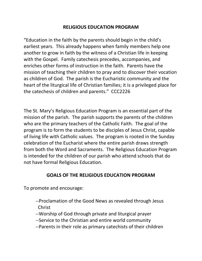### **RELIGIOUS EDUCATION PROGRAM**

"Education in the faith by the parents should begin in the child's earliest years. This already happens when family members help one another to grow in faith by the witness of a Christian life in keeping with the Gospel. Family catechesis precedes, accompanies, and enriches other forms of instruction in the faith. Parents have the mission of teaching their children to pray and to discover their vocation as children of God. The parish is the Eucharistic community and the heart of the liturgical life of Christian families; it is a privileged place for the catechesis of children and parents." CCC2226

The St. Mary's Religious Education Program is an essential part of the mission of the parish. The parish supports the parents of the children who are the primary teachers of the Catholic Faith. The goal of the program is to form the students to be disciples of Jesus Christ, capable of living life with Catholic values. The program is rooted in the Sunday celebration of the Eucharist where the entire parish draws strength from both the Word and Sacraments. The Religious Education Program is intended for the children of our parish who attend schools that do not have formal Religious Education.

## **GOALS OF THE RELIGIOUS EDUCATION PROGRAM**

To promote and encourage:

- --Proclamation of the Good News as revealed through Jesus Christ
- --Worship of God through private and liturgical prayer
- --Service to the Christian and entire world community
- --Parents in their role as primary catechists of their children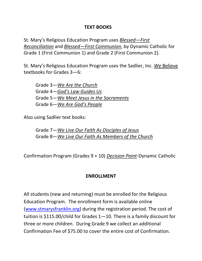#### **TEXT BOOKS**

St. Mary's Religious Education Program uses *Blessed—First Reconciliation* and *Blessed—First Communion*, by Dynamic Catholic for Grade 1 (First Communion 1) and Grade 2 (First Communion 2).

St. Mary's Religious Education Program uses the Sadlier, Inc. *We* Believe textbooks for Grades 3—6:

Grade 3—*We Are the Church* Grade 4—*God's Law Guides Us* Grade 5—*We Meet Jesus in the Sacraments* Grade 6—*We Are God's People*

Also using Sadlier text books:

Grade 7—*We Live Our Faith As Disciples of Jesus* Grade 8—*We Live Our Faith As Members of the Church*

Confirmation Program (Grades 9 + 10) *Decision Point*-Dynamic Catholic

#### **ENROLLMENT**

All students (new and returning) must be enrolled for the Religious Education Program. The enrollment form is available online [\(www.stmarysfranklin.org\)](http://www.stmarysfranklin.org/) during the registration period. The cost of tuition is \$115.00/child for Grades 1—10. There is a family discount for three or more children. During Grade 9 we collect an additional Confirmation Fee of \$75.00 to cover the entire cost of Confirmation.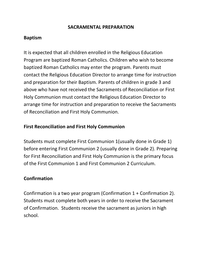#### **SACRAMENTAL PREPARATION**

## **Baptism**

It is expected that all children enrolled in the Religious Education Program are baptized Roman Catholics. Children who wish to become baptized Roman Catholics may enter the program. Parents must contact the Religious Education Director to arrange time for instruction and preparation for their Baptism. Parents of children in grade 3 and above who have not received the Sacraments of Reconciliation or First Holy Communion must contact the Religious Education Director to arrange time for instruction and preparation to receive the Sacraments of Reconciliation and First Holy Communion.

### **First Reconciliation and First Holy Communion**

Students must complete First Communion 1(usually done in Grade 1) before entering First Communion 2 (usually done in Grade 2). Preparing for First Reconciliation and First Holy Communion is the primary focus of the First Communion 1 and First Communion 2 Curriculum.

#### **Confirmation**

Confirmation is a two year program (Confirmation 1 + Confirmation 2). Students must complete both years in order to receive the Sacrament of Confirmation. Students receive the sacrament as juniors in high school.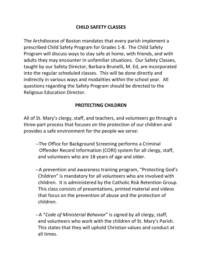## **CHILD SAFETY CLASSES**

The Archdiocese of Boston mandates that every parish implement a prescribed Child Safety Program for Grades 1-8. The Child Safety Program will discuss ways to stay safe at home, with friends, and with adults they may encounter in unfamiliar situations. Our Safety Classes, taught by our Safety Director, Barbara Brunelli, M. Ed, are incorporated into the regular scheduled classes. This will be done directly and indirectly in various ways and modalities within the school year. All questions regarding the Safety Program should be directed to the Religious Education Director.

## **PROTECTING CHILDREN**

All of St. Mary's clergy, staff, and teachers, and volunteers go through a three-part process that focuses on the protection of our children and provides a safe environment for the people we serve:

- --The Office for Background Screening performs a Criminal Offender Record Information (CORI) system for all clergy, staff, and volunteers who are 18 years of age and older.
- --A prevention and awareness training program, "Protecting God's Children" is mandatory for all volunteers who are involved with children. It is administered by the Catholic Risk Retention Group. This class consists of presentations, printed material and videos that focus on the prevention of abuse and the protection of children.
- --A "*Code of Ministerial Behavior*" is signed by all clergy, staff, and volunteers who work with the children of St. Mary's Parish. This states that they will uphold Christian values and conduct at all times.